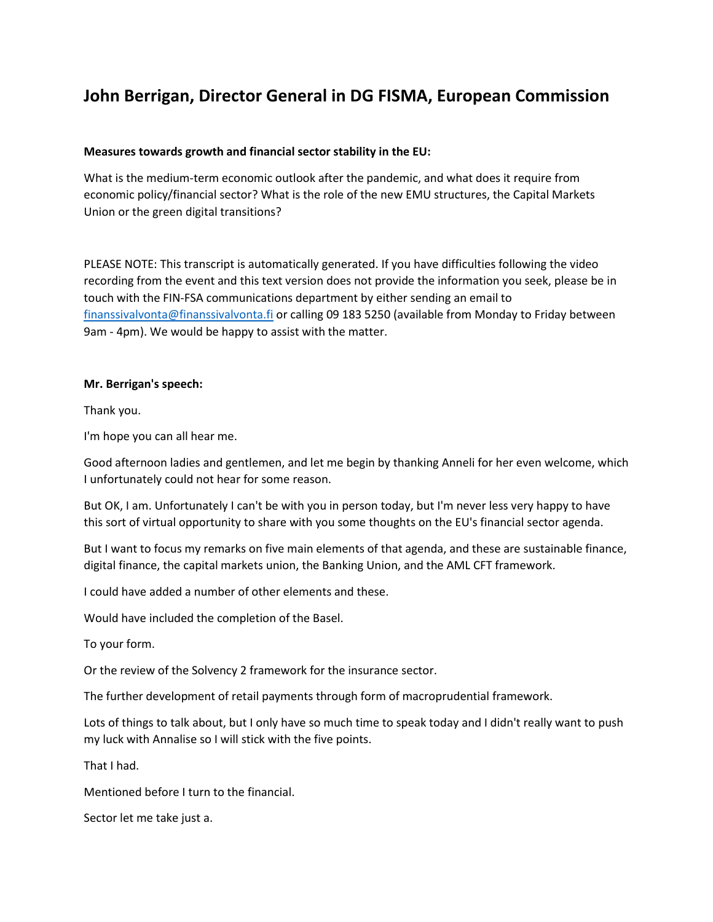## **John Berrigan, Director General in DG FISMA, European Commission**

## **Measures towards growth and financial sector stability in the EU:**

What is the medium-term economic outlook after the pandemic, and what does it require from economic policy/financial sector? What is the role of the new EMU structures, the Capital Markets Union or the green digital transitions?

PLEASE NOTE: This transcript is automatically generated. If you have difficulties following the video recording from the event and this text version does not provide the information you seek, please be in touch with the FIN-FSA communications department by either sending an email to [finanssivalvonta@finanssivalvonta.fi](mailto:finanssivalvonta@finanssivalvonta.fi) or calling 09 183 5250 (available from Monday to Friday between 9am - 4pm). We would be happy to assist with the matter.

## **Mr. Berrigan's speech:**

Thank you.

I'm hope you can all hear me.

Good afternoon ladies and gentlemen, and let me begin by thanking Anneli for her even welcome, which I unfortunately could not hear for some reason.

But OK, I am. Unfortunately I can't be with you in person today, but I'm never less very happy to have this sort of virtual opportunity to share with you some thoughts on the EU's financial sector agenda.

But I want to focus my remarks on five main elements of that agenda, and these are sustainable finance, digital finance, the capital markets union, the Banking Union, and the AML CFT framework.

I could have added a number of other elements and these.

Would have included the completion of the Basel.

To your form.

Or the review of the Solvency 2 framework for the insurance sector.

The further development of retail payments through form of macroprudential framework.

Lots of things to talk about, but I only have so much time to speak today and I didn't really want to push my luck with Annalise so I will stick with the five points.

That I had.

Mentioned before I turn to the financial.

Sector let me take just a.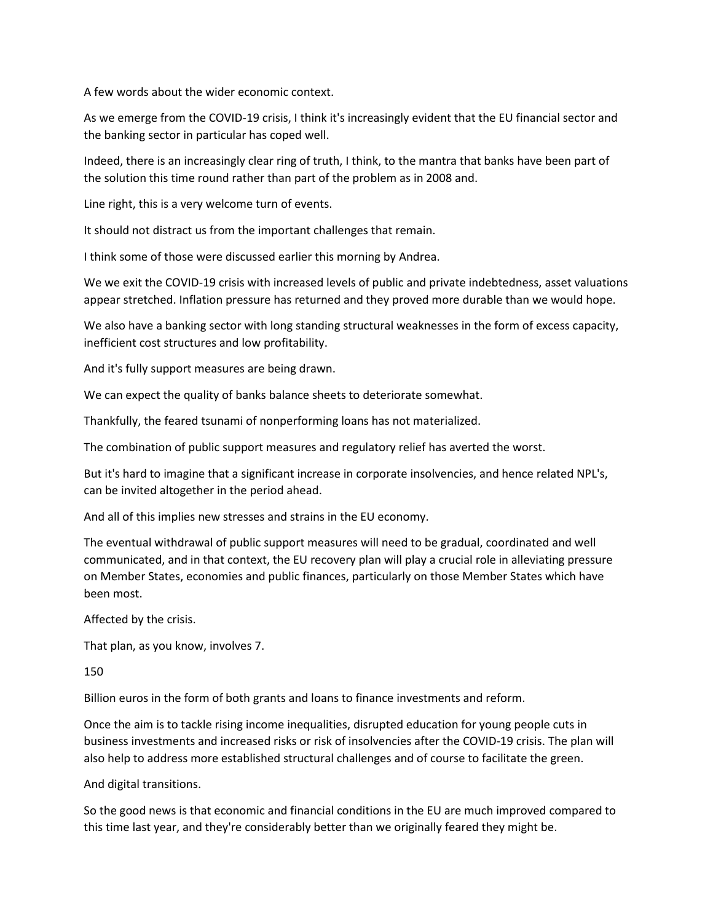A few words about the wider economic context.

As we emerge from the COVID-19 crisis, I think it's increasingly evident that the EU financial sector and the banking sector in particular has coped well.

Indeed, there is an increasingly clear ring of truth, I think, to the mantra that banks have been part of the solution this time round rather than part of the problem as in 2008 and.

Line right, this is a very welcome turn of events.

It should not distract us from the important challenges that remain.

I think some of those were discussed earlier this morning by Andrea.

We we exit the COVID-19 crisis with increased levels of public and private indebtedness, asset valuations appear stretched. Inflation pressure has returned and they proved more durable than we would hope.

We also have a banking sector with long standing structural weaknesses in the form of excess capacity, inefficient cost structures and low profitability.

And it's fully support measures are being drawn.

We can expect the quality of banks balance sheets to deteriorate somewhat.

Thankfully, the feared tsunami of nonperforming loans has not materialized.

The combination of public support measures and regulatory relief has averted the worst.

But it's hard to imagine that a significant increase in corporate insolvencies, and hence related NPL's, can be invited altogether in the period ahead.

And all of this implies new stresses and strains in the EU economy.

The eventual withdrawal of public support measures will need to be gradual, coordinated and well communicated, and in that context, the EU recovery plan will play a crucial role in alleviating pressure on Member States, economies and public finances, particularly on those Member States which have been most.

Affected by the crisis.

That plan, as you know, involves 7.

150

Billion euros in the form of both grants and loans to finance investments and reform.

Once the aim is to tackle rising income inequalities, disrupted education for young people cuts in business investments and increased risks or risk of insolvencies after the COVID-19 crisis. The plan will also help to address more established structural challenges and of course to facilitate the green.

And digital transitions.

So the good news is that economic and financial conditions in the EU are much improved compared to this time last year, and they're considerably better than we originally feared they might be.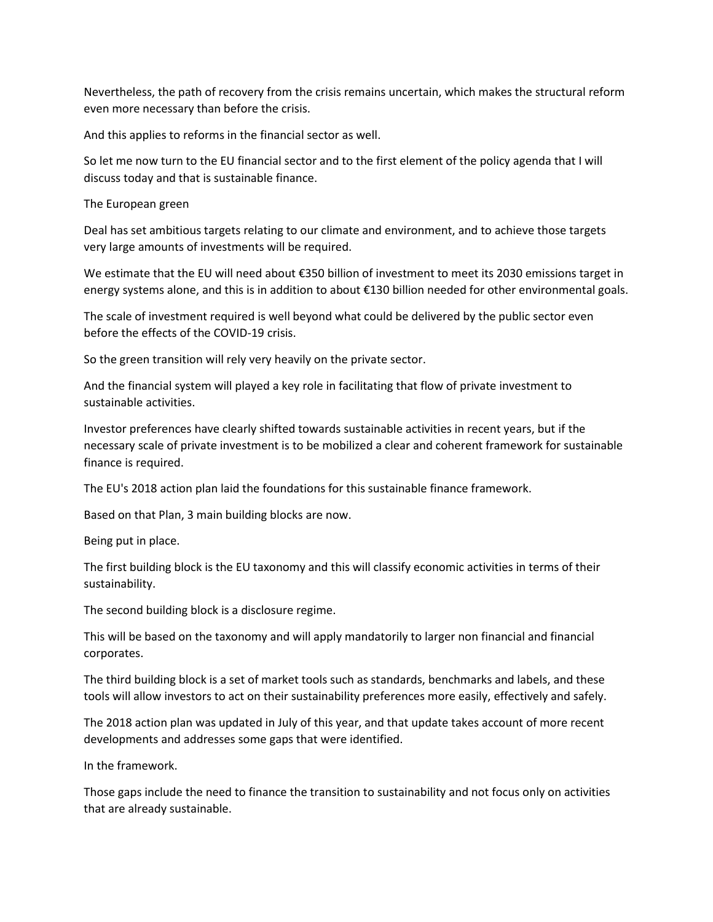Nevertheless, the path of recovery from the crisis remains uncertain, which makes the structural reform even more necessary than before the crisis.

And this applies to reforms in the financial sector as well.

So let me now turn to the EU financial sector and to the first element of the policy agenda that I will discuss today and that is sustainable finance.

The European green

Deal has set ambitious targets relating to our climate and environment, and to achieve those targets very large amounts of investments will be required.

We estimate that the EU will need about €350 billion of investment to meet its 2030 emissions target in energy systems alone, and this is in addition to about €130 billion needed for other environmental goals.

The scale of investment required is well beyond what could be delivered by the public sector even before the effects of the COVID-19 crisis.

So the green transition will rely very heavily on the private sector.

And the financial system will played a key role in facilitating that flow of private investment to sustainable activities.

Investor preferences have clearly shifted towards sustainable activities in recent years, but if the necessary scale of private investment is to be mobilized a clear and coherent framework for sustainable finance is required.

The EU's 2018 action plan laid the foundations for this sustainable finance framework.

Based on that Plan, 3 main building blocks are now.

Being put in place.

The first building block is the EU taxonomy and this will classify economic activities in terms of their sustainability.

The second building block is a disclosure regime.

This will be based on the taxonomy and will apply mandatorily to larger non financial and financial corporates.

The third building block is a set of market tools such as standards, benchmarks and labels, and these tools will allow investors to act on their sustainability preferences more easily, effectively and safely.

The 2018 action plan was updated in July of this year, and that update takes account of more recent developments and addresses some gaps that were identified.

In the framework.

Those gaps include the need to finance the transition to sustainability and not focus only on activities that are already sustainable.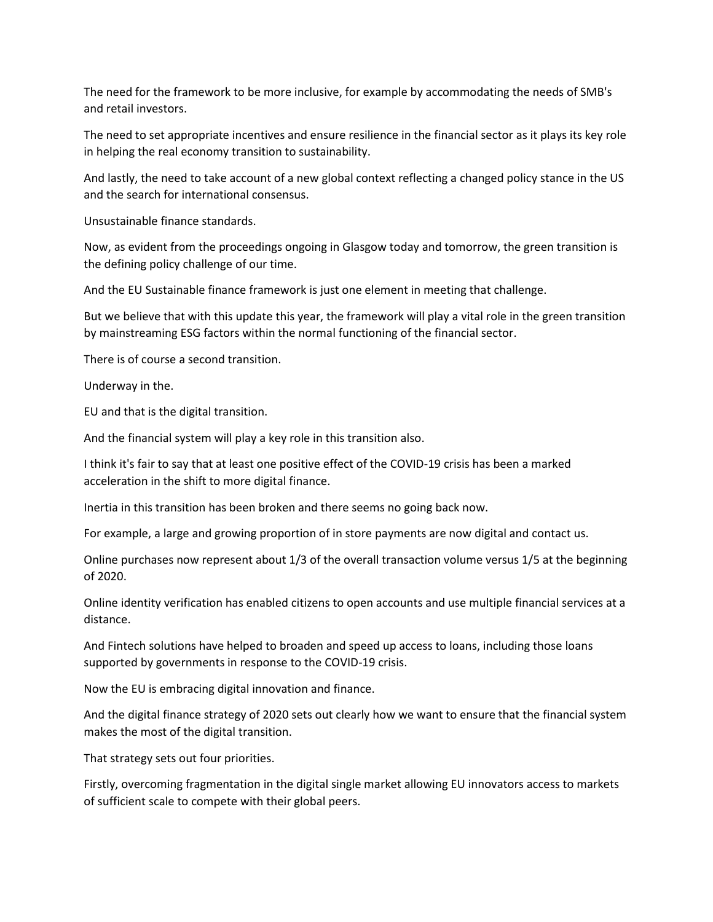The need for the framework to be more inclusive, for example by accommodating the needs of SMB's and retail investors.

The need to set appropriate incentives and ensure resilience in the financial sector as it plays its key role in helping the real economy transition to sustainability.

And lastly, the need to take account of a new global context reflecting a changed policy stance in the US and the search for international consensus.

Unsustainable finance standards.

Now, as evident from the proceedings ongoing in Glasgow today and tomorrow, the green transition is the defining policy challenge of our time.

And the EU Sustainable finance framework is just one element in meeting that challenge.

But we believe that with this update this year, the framework will play a vital role in the green transition by mainstreaming ESG factors within the normal functioning of the financial sector.

There is of course a second transition.

Underway in the.

EU and that is the digital transition.

And the financial system will play a key role in this transition also.

I think it's fair to say that at least one positive effect of the COVID-19 crisis has been a marked acceleration in the shift to more digital finance.

Inertia in this transition has been broken and there seems no going back now.

For example, a large and growing proportion of in store payments are now digital and contact us.

Online purchases now represent about 1/3 of the overall transaction volume versus 1/5 at the beginning of 2020.

Online identity verification has enabled citizens to open accounts and use multiple financial services at a distance.

And Fintech solutions have helped to broaden and speed up access to loans, including those loans supported by governments in response to the COVID-19 crisis.

Now the EU is embracing digital innovation and finance.

And the digital finance strategy of 2020 sets out clearly how we want to ensure that the financial system makes the most of the digital transition.

That strategy sets out four priorities.

Firstly, overcoming fragmentation in the digital single market allowing EU innovators access to markets of sufficient scale to compete with their global peers.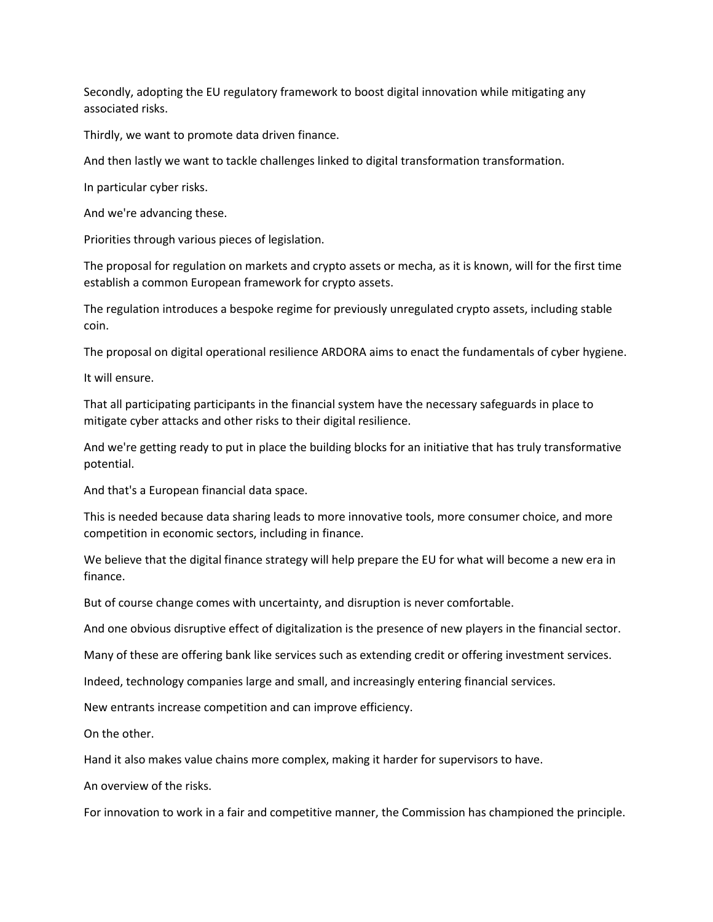Secondly, adopting the EU regulatory framework to boost digital innovation while mitigating any associated risks.

Thirdly, we want to promote data driven finance.

And then lastly we want to tackle challenges linked to digital transformation transformation.

In particular cyber risks.

And we're advancing these.

Priorities through various pieces of legislation.

The proposal for regulation on markets and crypto assets or mecha, as it is known, will for the first time establish a common European framework for crypto assets.

The regulation introduces a bespoke regime for previously unregulated crypto assets, including stable coin.

The proposal on digital operational resilience ARDORA aims to enact the fundamentals of cyber hygiene.

It will ensure.

That all participating participants in the financial system have the necessary safeguards in place to mitigate cyber attacks and other risks to their digital resilience.

And we're getting ready to put in place the building blocks for an initiative that has truly transformative potential.

And that's a European financial data space.

This is needed because data sharing leads to more innovative tools, more consumer choice, and more competition in economic sectors, including in finance.

We believe that the digital finance strategy will help prepare the EU for what will become a new era in finance.

But of course change comes with uncertainty, and disruption is never comfortable.

And one obvious disruptive effect of digitalization is the presence of new players in the financial sector.

Many of these are offering bank like services such as extending credit or offering investment services.

Indeed, technology companies large and small, and increasingly entering financial services.

New entrants increase competition and can improve efficiency.

On the other.

Hand it also makes value chains more complex, making it harder for supervisors to have.

An overview of the risks.

For innovation to work in a fair and competitive manner, the Commission has championed the principle.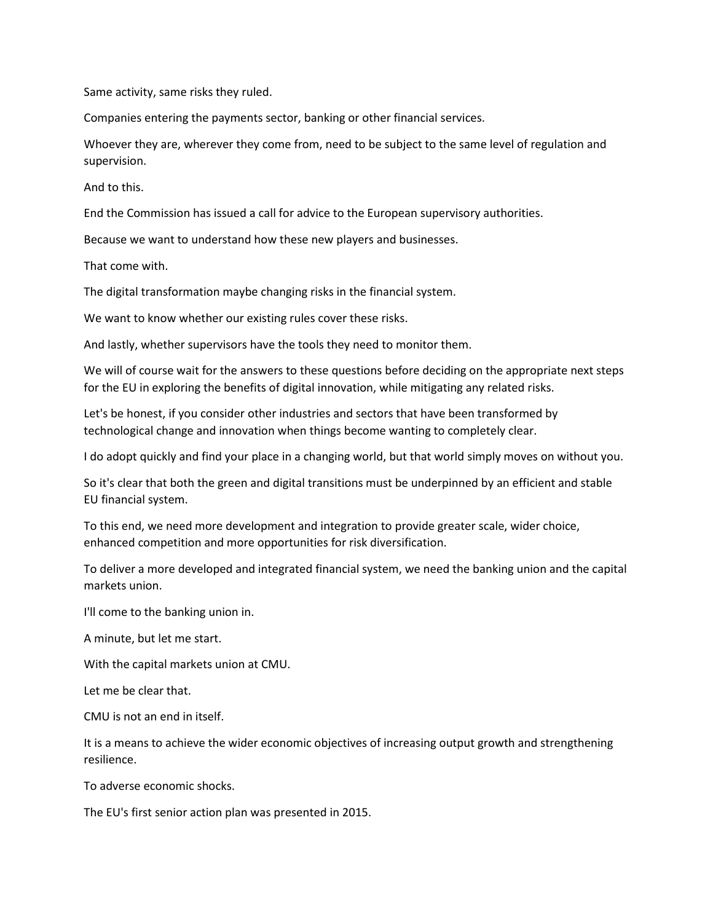Same activity, same risks they ruled.

Companies entering the payments sector, banking or other financial services.

Whoever they are, wherever they come from, need to be subject to the same level of regulation and supervision.

And to this.

End the Commission has issued a call for advice to the European supervisory authorities.

Because we want to understand how these new players and businesses.

That come with.

The digital transformation maybe changing risks in the financial system.

We want to know whether our existing rules cover these risks.

And lastly, whether supervisors have the tools they need to monitor them.

We will of course wait for the answers to these questions before deciding on the appropriate next steps for the EU in exploring the benefits of digital innovation, while mitigating any related risks.

Let's be honest, if you consider other industries and sectors that have been transformed by technological change and innovation when things become wanting to completely clear.

I do adopt quickly and find your place in a changing world, but that world simply moves on without you.

So it's clear that both the green and digital transitions must be underpinned by an efficient and stable EU financial system.

To this end, we need more development and integration to provide greater scale, wider choice, enhanced competition and more opportunities for risk diversification.

To deliver a more developed and integrated financial system, we need the banking union and the capital markets union.

I'll come to the banking union in.

A minute, but let me start.

With the capital markets union at CMU.

Let me be clear that.

CMU is not an end in itself.

It is a means to achieve the wider economic objectives of increasing output growth and strengthening resilience.

To adverse economic shocks.

The EU's first senior action plan was presented in 2015.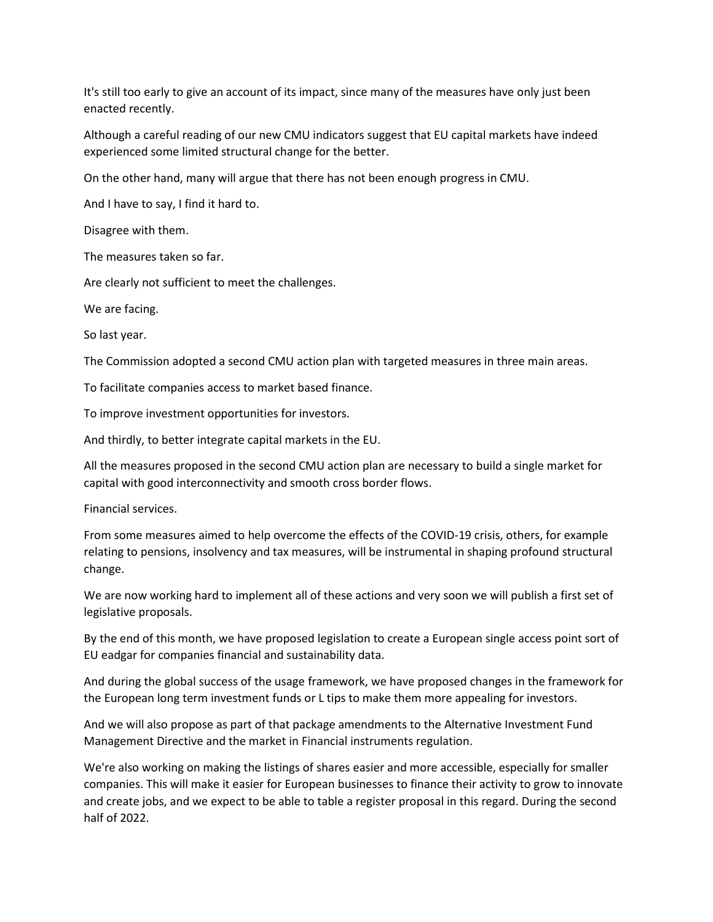It's still too early to give an account of its impact, since many of the measures have only just been enacted recently.

Although a careful reading of our new CMU indicators suggest that EU capital markets have indeed experienced some limited structural change for the better.

On the other hand, many will argue that there has not been enough progress in CMU.

And I have to say, I find it hard to.

Disagree with them.

The measures taken so far.

Are clearly not sufficient to meet the challenges.

We are facing.

So last year.

The Commission adopted a second CMU action plan with targeted measures in three main areas.

To facilitate companies access to market based finance.

To improve investment opportunities for investors.

And thirdly, to better integrate capital markets in the EU.

All the measures proposed in the second CMU action plan are necessary to build a single market for capital with good interconnectivity and smooth cross border flows.

Financial services.

From some measures aimed to help overcome the effects of the COVID-19 crisis, others, for example relating to pensions, insolvency and tax measures, will be instrumental in shaping profound structural change.

We are now working hard to implement all of these actions and very soon we will publish a first set of legislative proposals.

By the end of this month, we have proposed legislation to create a European single access point sort of EU eadgar for companies financial and sustainability data.

And during the global success of the usage framework, we have proposed changes in the framework for the European long term investment funds or L tips to make them more appealing for investors.

And we will also propose as part of that package amendments to the Alternative Investment Fund Management Directive and the market in Financial instruments regulation.

We're also working on making the listings of shares easier and more accessible, especially for smaller companies. This will make it easier for European businesses to finance their activity to grow to innovate and create jobs, and we expect to be able to table a register proposal in this regard. During the second half of 2022.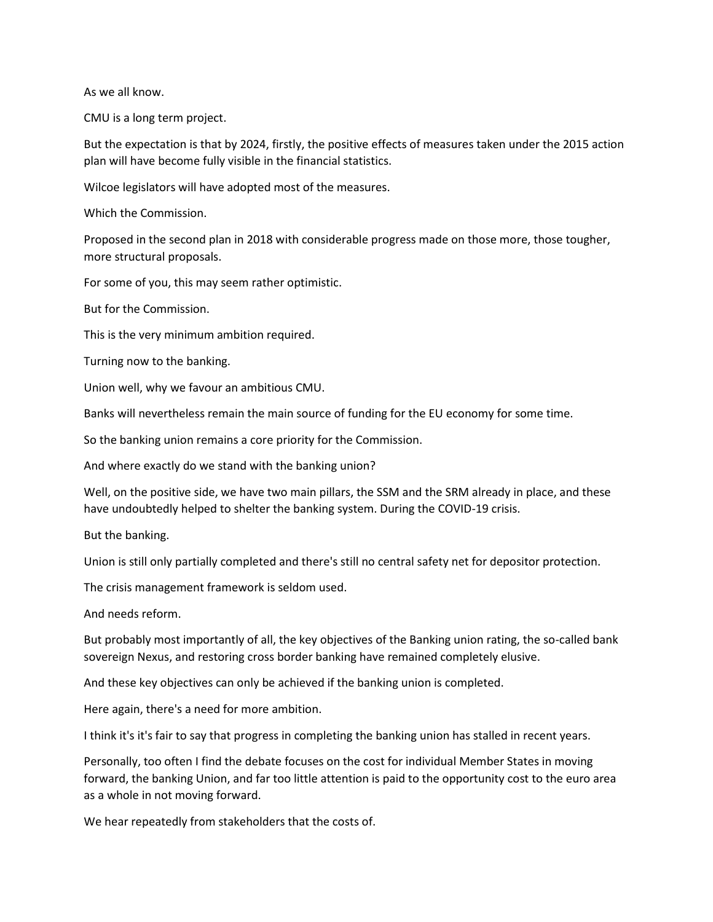As we all know.

CMU is a long term project.

But the expectation is that by 2024, firstly, the positive effects of measures taken under the 2015 action plan will have become fully visible in the financial statistics.

Wilcoe legislators will have adopted most of the measures.

Which the Commission.

Proposed in the second plan in 2018 with considerable progress made on those more, those tougher, more structural proposals.

For some of you, this may seem rather optimistic.

But for the Commission.

This is the very minimum ambition required.

Turning now to the banking.

Union well, why we favour an ambitious CMU.

Banks will nevertheless remain the main source of funding for the EU economy for some time.

So the banking union remains a core priority for the Commission.

And where exactly do we stand with the banking union?

Well, on the positive side, we have two main pillars, the SSM and the SRM already in place, and these have undoubtedly helped to shelter the banking system. During the COVID-19 crisis.

But the banking.

Union is still only partially completed and there's still no central safety net for depositor protection.

The crisis management framework is seldom used.

And needs reform.

But probably most importantly of all, the key objectives of the Banking union rating, the so-called bank sovereign Nexus, and restoring cross border banking have remained completely elusive.

And these key objectives can only be achieved if the banking union is completed.

Here again, there's a need for more ambition.

I think it's it's fair to say that progress in completing the banking union has stalled in recent years.

Personally, too often I find the debate focuses on the cost for individual Member States in moving forward, the banking Union, and far too little attention is paid to the opportunity cost to the euro area as a whole in not moving forward.

We hear repeatedly from stakeholders that the costs of.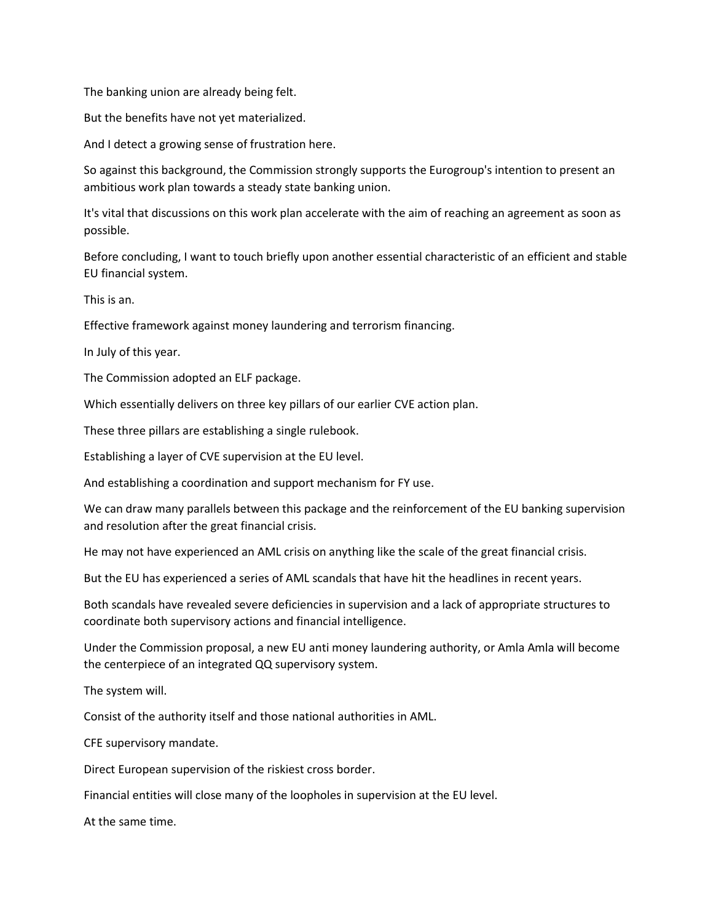The banking union are already being felt.

But the benefits have not yet materialized.

And I detect a growing sense of frustration here.

So against this background, the Commission strongly supports the Eurogroup's intention to present an ambitious work plan towards a steady state banking union.

It's vital that discussions on this work plan accelerate with the aim of reaching an agreement as soon as possible.

Before concluding, I want to touch briefly upon another essential characteristic of an efficient and stable EU financial system.

This is an.

Effective framework against money laundering and terrorism financing.

In July of this year.

The Commission adopted an ELF package.

Which essentially delivers on three key pillars of our earlier CVE action plan.

These three pillars are establishing a single rulebook.

Establishing a layer of CVE supervision at the EU level.

And establishing a coordination and support mechanism for FY use.

We can draw many parallels between this package and the reinforcement of the EU banking supervision and resolution after the great financial crisis.

He may not have experienced an AML crisis on anything like the scale of the great financial crisis.

But the EU has experienced a series of AML scandals that have hit the headlines in recent years.

Both scandals have revealed severe deficiencies in supervision and a lack of appropriate structures to coordinate both supervisory actions and financial intelligence.

Under the Commission proposal, a new EU anti money laundering authority, or Amla Amla will become the centerpiece of an integrated QQ supervisory system.

The system will.

Consist of the authority itself and those national authorities in AML.

CFE supervisory mandate.

Direct European supervision of the riskiest cross border.

Financial entities will close many of the loopholes in supervision at the EU level.

At the same time.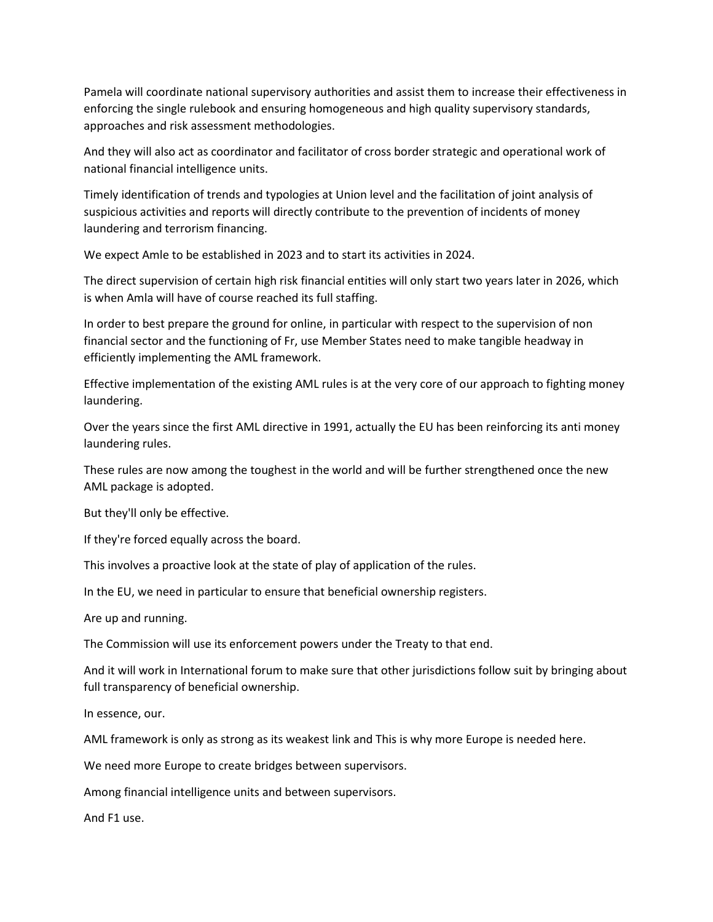Pamela will coordinate national supervisory authorities and assist them to increase their effectiveness in enforcing the single rulebook and ensuring homogeneous and high quality supervisory standards, approaches and risk assessment methodologies.

And they will also act as coordinator and facilitator of cross border strategic and operational work of national financial intelligence units.

Timely identification of trends and typologies at Union level and the facilitation of joint analysis of suspicious activities and reports will directly contribute to the prevention of incidents of money laundering and terrorism financing.

We expect Amle to be established in 2023 and to start its activities in 2024.

The direct supervision of certain high risk financial entities will only start two years later in 2026, which is when Amla will have of course reached its full staffing.

In order to best prepare the ground for online, in particular with respect to the supervision of non financial sector and the functioning of Fr, use Member States need to make tangible headway in efficiently implementing the AML framework.

Effective implementation of the existing AML rules is at the very core of our approach to fighting money laundering.

Over the years since the first AML directive in 1991, actually the EU has been reinforcing its anti money laundering rules.

These rules are now among the toughest in the world and will be further strengthened once the new AML package is adopted.

But they'll only be effective.

If they're forced equally across the board.

This involves a proactive look at the state of play of application of the rules.

In the EU, we need in particular to ensure that beneficial ownership registers.

Are up and running.

The Commission will use its enforcement powers under the Treaty to that end.

And it will work in International forum to make sure that other jurisdictions follow suit by bringing about full transparency of beneficial ownership.

In essence, our.

AML framework is only as strong as its weakest link and This is why more Europe is needed here.

We need more Europe to create bridges between supervisors.

Among financial intelligence units and between supervisors.

And F1 use.